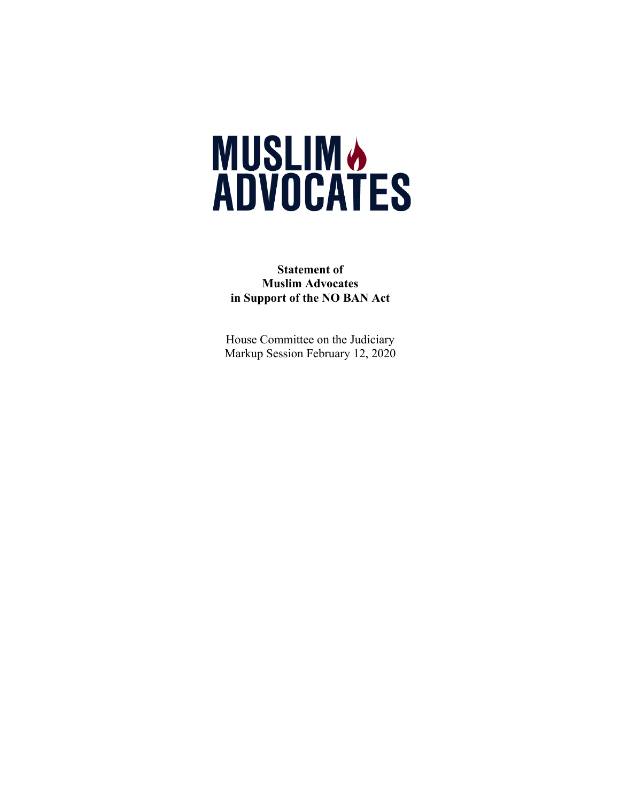## **MUSLIM<sup>6</sup>**<br>ADVOCATES

## **Statement of Muslim Advocates in Support of the NO BAN Act**

House Committee on the Judiciary Markup Session February 12, 2020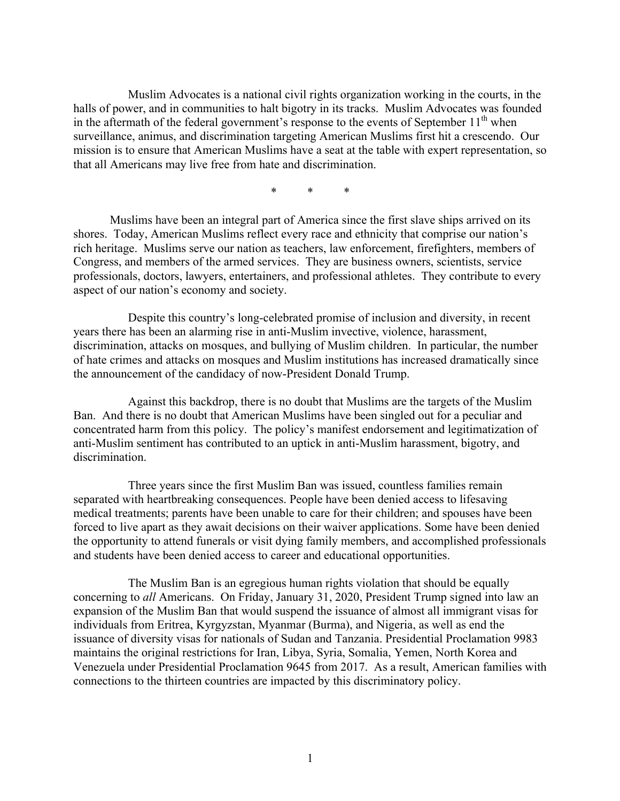Muslim Advocates is a national civil rights organization working in the courts, in the halls of power, and in communities to halt bigotry in its tracks. Muslim Advocates was founded in the aftermath of the federal government's response to the events of September  $11<sup>th</sup>$  when surveillance, animus, and discrimination targeting American Muslims first hit a crescendo. Our mission is to ensure that American Muslims have a seat at the table with expert representation, so that all Americans may live free from hate and discrimination.

\* \* \*

Muslims have been an integral part of America since the first slave ships arrived on its shores. Today, American Muslims reflect every race and ethnicity that comprise our nation's rich heritage. Muslims serve our nation as teachers, law enforcement, firefighters, members of Congress, and members of the armed services. They are business owners, scientists, service professionals, doctors, lawyers, entertainers, and professional athletes. They contribute to every aspect of our nation's economy and society.

Despite this country's long-celebrated promise of inclusion and diversity, in recent years there has been an alarming rise in anti-Muslim invective, violence, harassment, discrimination, attacks on mosques, and bullying of Muslim children. In particular, the number of hate crimes and attacks on mosques and Muslim institutions has increased dramatically since the announcement of the candidacy of now-President Donald Trump.

Against this backdrop, there is no doubt that Muslims are the targets of the Muslim Ban. And there is no doubt that American Muslims have been singled out for a peculiar and concentrated harm from this policy. The policy's manifest endorsement and legitimatization of anti-Muslim sentiment has contributed to an uptick in anti-Muslim harassment, bigotry, and discrimination.

Three years since the first Muslim Ban was issued, countless families remain separated with heartbreaking consequences. People have been denied access to lifesaving medical treatments; parents have been unable to care for their children; and spouses have been forced to live apart as they await decisions on their waiver applications. Some have been denied the opportunity to attend funerals or visit dying family members, and accomplished professionals and students have been denied access to career and educational opportunities.

The Muslim Ban is an egregious human rights violation that should be equally concerning to *all* Americans. On Friday, January 31, 2020, President Trump signed into law an expansion of the Muslim Ban that would suspend the issuance of almost all immigrant visas for individuals from Eritrea, Kyrgyzstan, Myanmar (Burma), and Nigeria, as well as end the issuance of diversity visas for nationals of Sudan and Tanzania. Presidential Proclamation 9983 maintains the original restrictions for Iran, Libya, Syria, Somalia, Yemen, North Korea and Venezuela under Presidential Proclamation 9645 from 2017. As a result, American families with connections to the thirteen countries are impacted by this discriminatory policy.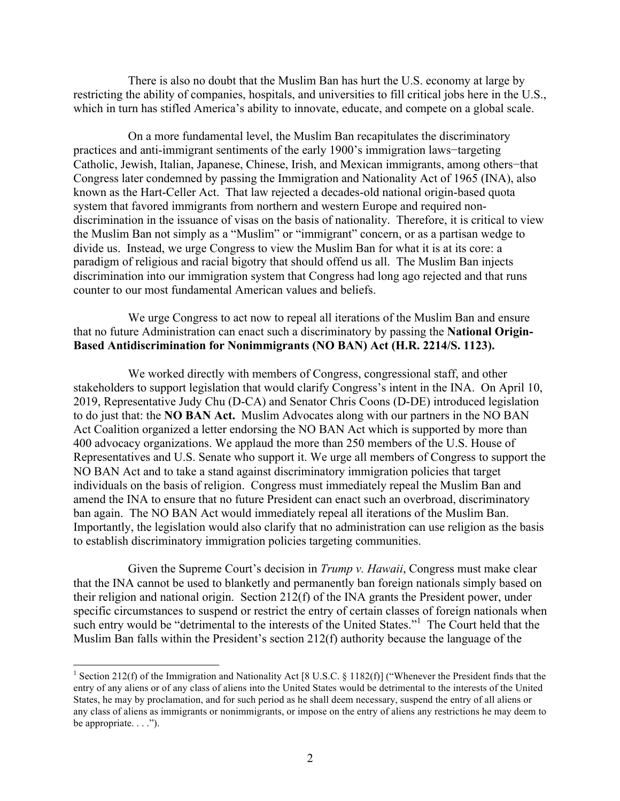There is also no doubt that the Muslim Ban has hurt the U.S. economy at large by restricting the ability of companies, hospitals, and universities to fill critical jobs here in the U.S., which in turn has stifled America's ability to innovate, educate, and compete on a global scale.

On a more fundamental level, the Muslim Ban recapitulates the discriminatory practices and anti-immigrant sentiments of the early 1900's immigration laws−targeting Catholic, Jewish, Italian, Japanese, Chinese, Irish, and Mexican immigrants, among others−that Congress later condemned by passing the Immigration and Nationality Act of 1965 (INA), also known as the Hart-Celler Act. That law rejected a decades-old national origin-based quota system that favored immigrants from northern and western Europe and required nondiscrimination in the issuance of visas on the basis of nationality. Therefore, it is critical to view the Muslim Ban not simply as a "Muslim" or "immigrant" concern, or as a partisan wedge to divide us. Instead, we urge Congress to view the Muslim Ban for what it is at its core: a paradigm of religious and racial bigotry that should offend us all. The Muslim Ban injects discrimination into our immigration system that Congress had long ago rejected and that runs counter to our most fundamental American values and beliefs.

We urge Congress to act now to repeal all iterations of the Muslim Ban and ensure that no future Administration can enact such a discriminatory by passing the **National Origin-Based Antidiscrimination for Nonimmigrants (NO BAN) Act (H.R. 2214/S. 1123).** 

We worked directly with members of Congress, congressional staff, and other stakeholders to support legislation that would clarify Congress's intent in the INA. On April 10, 2019, Representative Judy Chu (D-CA) and Senator Chris Coons (D-DE) introduced legislation to do just that: the **NO BAN Act.** Muslim Advocates along with our partners in the NO BAN Act Coalition organized a letter endorsing the NO BAN Act which is supported by more than 400 advocacy organizations. We applaud the more than 250 members of the U.S. House of Representatives and U.S. Senate who support it. We urge all members of Congress to support the NO BAN Act and to take a stand against discriminatory immigration policies that target individuals on the basis of religion. Congress must immediately repeal the Muslim Ban and amend the INA to ensure that no future President can enact such an overbroad, discriminatory ban again. The NO BAN Act would immediately repeal all iterations of the Muslim Ban. Importantly, the legislation would also clarify that no administration can use religion as the basis to establish discriminatory immigration policies targeting communities.

Given the Supreme Court's decision in *Trump v. Hawaii*, Congress must make clear that the INA cannot be used to blanketly and permanently ban foreign nationals simply based on their religion and national origin. Section 212(f) of the INA grants the President power, under specific circumstances to suspend or restrict the entry of certain classes of foreign nationals when such entry would be "detrimental to the interests of the United States."<sup>1</sup> The Court held that the Muslim Ban falls within the President's section 212(f) authority because the language of the

<sup>&</sup>lt;sup>1</sup> Section 212(f) of the Immigration and Nationality Act [8 U.S.C. § 1182(f)] ("Whenever the President finds that the entry of any aliens or of any class of aliens into the United States would be detrimental to the interests of the United States, he may by proclamation, and for such period as he shall deem necessary, suspend the entry of all aliens or any class of aliens as immigrants or nonimmigrants, or impose on the entry of aliens any restrictions he may deem to be appropriate.  $\dots$ ").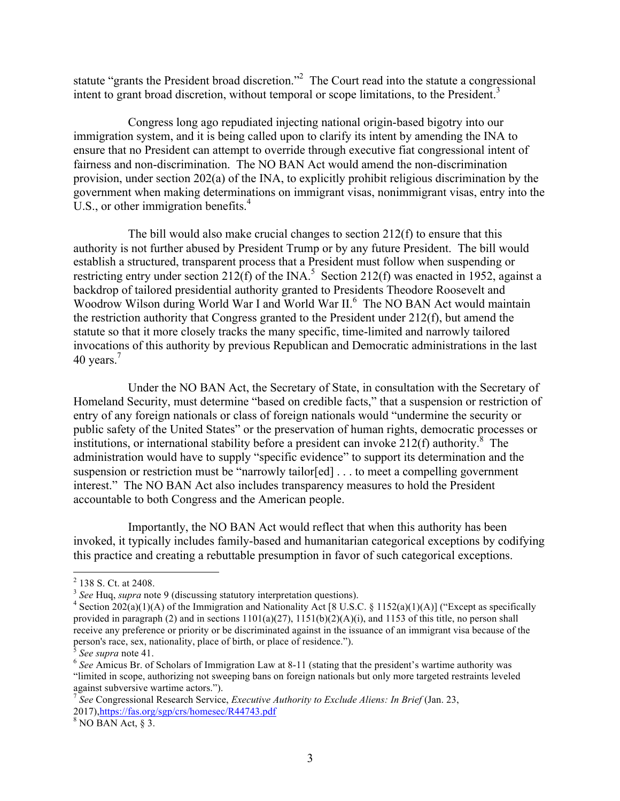statute "grants the President broad discretion."<sup>2</sup> The Court read into the statute a congressional intent to grant broad discretion, without temporal or scope limitations, to the President.<sup>3</sup>

Congress long ago repudiated injecting national origin-based bigotry into our immigration system, and it is being called upon to clarify its intent by amending the INA to ensure that no President can attempt to override through executive fiat congressional intent of fairness and non-discrimination. The NO BAN Act would amend the non-discrimination provision, under section 202(a) of the INA, to explicitly prohibit religious discrimination by the government when making determinations on immigrant visas, nonimmigrant visas, entry into the U.S., or other immigration benefits.<sup>4</sup>

The bill would also make crucial changes to section 212(f) to ensure that this authority is not further abused by President Trump or by any future President. The bill would establish a structured, transparent process that a President must follow when suspending or restricting entry under section 212(f) of the INA.<sup>5</sup> Section 212(f) was enacted in 1952, against a backdrop of tailored presidential authority granted to Presidents Theodore Roosevelt and Woodrow Wilson during World War I and World War II.<sup>6</sup> The NO BAN Act would maintain the restriction authority that Congress granted to the President under 212(f), but amend the statute so that it more closely tracks the many specific, time-limited and narrowly tailored invocations of this authority by previous Republican and Democratic administrations in the last 40 years. $<sup>7</sup>$ </sup>

Under the NO BAN Act, the Secretary of State, in consultation with the Secretary of Homeland Security, must determine "based on credible facts," that a suspension or restriction of entry of any foreign nationals or class of foreign nationals would "undermine the security or public safety of the United States" or the preservation of human rights, democratic processes or institutions, or international stability before a president can invoke  $212(f)$  authority.<sup>8</sup> The administration would have to supply "specific evidence" to support its determination and the suspension or restriction must be "narrowly tailor[ed] ... to meet a compelling government interest." The NO BAN Act also includes transparency measures to hold the President accountable to both Congress and the American people.

Importantly, the NO BAN Act would reflect that when this authority has been invoked, it typically includes family-based and humanitarian categorical exceptions by codifying this practice and creating a rebuttable presumption in favor of such categorical exceptions.

 $\frac{2}{3}$  138 S. Ct. at 2408.<br> $\frac{3}{3}$  See Hug, *supra* note 9 (discussing statutory interpretation questions).

<sup>&</sup>lt;sup>4</sup> Section 202(a)(1)(A) of the Immigration and Nationality Act [8 U.S.C. § 1152(a)(1)(A)] ("Except as specifically provided in paragraph (2) and in sections  $1101(a)(27)$ ,  $1151(b)(2)(A)(i)$ , and  $1153$  of this title, no person shall receive any preference or priority or be discriminated against in the issuance of an immigrant visa because of the person's race, sex, nationality, place of birth, or place of residence.").

<sup>&</sup>lt;sup>5</sup> See supra note 41.<br><sup>6</sup> See Amicus Br. of Scholars of Immigration Law at 8-11 (stating that the president's wartime authority was "limited in scope, authorizing not sweeping bans on foreign nationals but only more targeted restraints leveled against subversive wartime actors.").

<sup>7</sup> *See* Congressional Research Service, *Executive Authority to Exclude Aliens: In Brief* (Jan. 23, 2017), https://fas.org/sgp/crs/homesec/R44743.pdf 8 NO BAN Act, § 3.